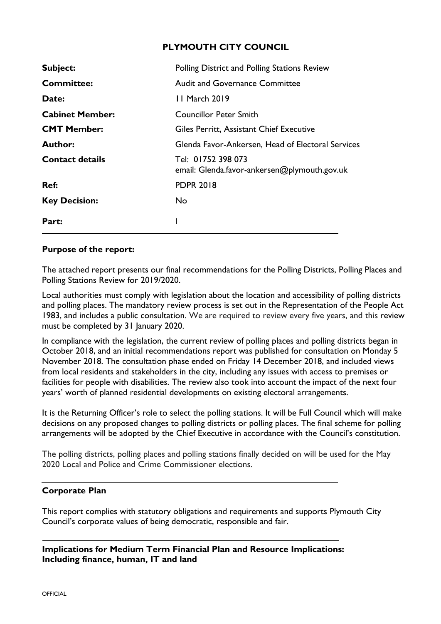# **PLYMOUTH CITY COUNCIL**

| <b>Subject:</b>        | Polling District and Polling Stations Review                       |
|------------------------|--------------------------------------------------------------------|
| <b>Committee:</b>      | <b>Audit and Governance Committee</b>                              |
| Date:                  | 11 March 2019                                                      |
| <b>Cabinet Member:</b> | <b>Councillor Peter Smith</b>                                      |
| <b>CMT Member:</b>     | Giles Perritt, Assistant Chief Executive                           |
| <b>Author:</b>         | Glenda Favor-Ankersen, Head of Electoral Services                  |
| <b>Contact details</b> | Tel: 01752 398 073<br>email: Glenda.favor-ankersen@plymouth.gov.uk |
| Ref:                   | <b>PDPR 2018</b>                                                   |
| <b>Key Decision:</b>   | No.                                                                |
| Part:                  |                                                                    |

# **Purpose of the report:**

The attached report presents our final recommendations for the Polling Districts, Polling Places and Polling Stations Review for 2019/2020.

Local authorities must comply with legislation about the location and accessibility of polling districts and polling places. The mandatory review process is set out in the Representation of the People Act 1983, and includes a public consultation. We are required to review every five years, and this review must be completed by 31 January 2020.

In compliance with the legislation, the current review of polling places and polling districts began in October 2018, and an initial recommendations report was published for consultation on Monday 5 November 2018. The consultation phase ended on Friday 14 December 2018, and included views from local residents and stakeholders in the city, including any issues with access to premises or facilities for people with disabilities. The review also took into account the impact of the next four years' worth of planned residential developments on existing electoral arrangements.

It is the Returning Officer's role to select the polling stations. It will be Full Council which will make decisions on any proposed changes to polling districts or polling places. The final scheme for polling arrangements will be adopted by the Chief Executive in accordance with the Council's constitution.

The polling districts, polling places and polling stations finally decided on will be used for the May 2020 Local and Police and Crime Commissioner elections.

# **Corporate Plan**

This report complies with statutory obligations and requirements and supports Plymouth City Council's corporate values of being democratic, responsible and fair.

**Implications for Medium Term Financial Plan and Resource Implications: Including finance, human, IT and land**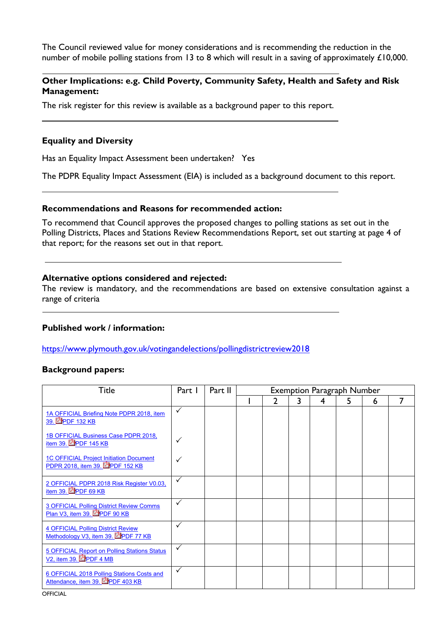The Council reviewed value for money considerations and is recommending the reduction in the number of mobile polling stations from 13 to 8 which will result in a saving of approximately £10,000.

## **Other Implications: e.g. Child Poverty, Community Safety, Health and Safety and Risk Management:**

The risk register for this review is available as a background paper to this report.

#### **Equality and Diversity**

Has an Equality Impact Assessment been undertaken? Yes

The PDPR Equality Impact Assessment (EIA) is included as a background document to this report.

#### **Recommendations and Reasons for recommended action:**

To recommend that Council approves the proposed changes to polling stations as set out in the Polling Districts, Places and Stations Review Recommendations Report, set out starting at page 4 of that report; for the reasons set out in that report.

#### **Alternative options considered and rejected:**

The review is mandatory, and the recommendations are based on extensive consultation against a range of criteria

## **Published work / information:**

<https://www.plymouth.gov.uk/votingandelections/pollingdistrictreview2018>

## **Background papers:**

| Title                                                                             | Part I       | Part II | <b>Exemption Paragraph Number</b> |   |   |   |   |   |  |
|-----------------------------------------------------------------------------------|--------------|---------|-----------------------------------|---|---|---|---|---|--|
|                                                                                   |              |         |                                   | າ | 3 | 4 | 5 | 6 |  |
| 1A OFFICIAL Briefing Note PDPR 2018, item<br>39. PDF 132 KB                       | $\checkmark$ |         |                                   |   |   |   |   |   |  |
| 1B OFFICIAL Business Case PDPR 2018,<br>item 39. PPDF 145 KB                      |              |         |                                   |   |   |   |   |   |  |
| <b>1C OFFICIAL Project Initiation Document</b><br>PDPR 2018, item 39. APDF 152 KB |              |         |                                   |   |   |   |   |   |  |
| 2 OFFICIAL PDPR 2018 Risk Register V0.03,<br>item 39. PDF 69 KB                   | ✓            |         |                                   |   |   |   |   |   |  |
| <b>3 OFFICIAL Polling District Review Comms</b><br>Plan V3, item 39. PPDF 90 KB   | $\checkmark$ |         |                                   |   |   |   |   |   |  |
| <b>4 OFFICIAL Polling District Review</b><br>Methodology V3, item 39. APDF 77 KB  | ✓            |         |                                   |   |   |   |   |   |  |
| 5 OFFICIAL Report on Polling Stations Status<br>V2, item 39. PPDF 4 MB            | $\checkmark$ |         |                                   |   |   |   |   |   |  |
| 6 OFFICIAL 2018 Polling Stations Costs and<br>Attendance, item 39. PPDF 403 KB    | ✓            |         |                                   |   |   |   |   |   |  |